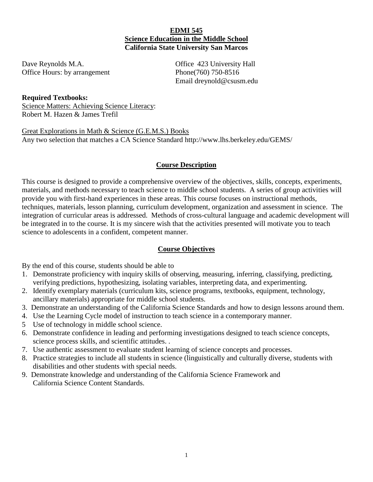### **EDMI 545 Science Education in the Middle School California State University San Marcos**

Dave Reynolds M.A. **Calculate Contract Contract Contract Contract Contract Contract Contract Contract Contract Contract Contract Contract Contract Contract Contract Contract Contract Contract Contract Contract Contract Con** Office Hours: by arrangement Phone(760) 750-8516

Email dreynold@csusm.edu

#### **Required Textbooks:**

Science Matters: Achieving Science Literacy: Robert M. Hazen & James Trefil

Great Explorations in Math & Science (G.E.M.S.) Books Any two selection that matches a CA Science Standard http://www.lhs.berkeley.edu/GEMS/

# **Course Description**

This course is designed to provide a comprehensive overview of the objectives, skills, concepts, experiments, materials, and methods necessary to teach science to middle school students. A series of group activities will provide you with first-hand experiences in these areas. This course focuses on instructional methods, techniques, materials, lesson planning, curriculum development, organization and assessment in science. The integration of curricular areas is addressed. Methods of cross-cultural language and academic development will be integrated in to the course. It is my sincere wish that the activities presented will motivate you to teach science to adolescents in a confident, competent manner.

# **Course Objectives**

By the end of this course, students should be able to

- 1. Demonstrate proficiency with inquiry skills of observing, measuring, inferring, classifying, predicting, verifying predictions, hypothesizing, isolating variables, interpreting data, and experimenting.
- 2. Identify exemplary materials (curriculum kits, science programs, textbooks, equipment, technology, ancillary materials) appropriate for middle school students.
- 3. Demonstrate an understanding of the California Science Standards and how to design lessons around them.
- 4. Use the Learning Cycle model of instruction to teach science in a contemporary manner.
- 5 Use of technology in middle school science.
- 6. Demonstrate confidence in leading and performing investigations designed to teach science concepts, science process skills, and scientific attitudes. .
- 7. Use authentic assessment to evaluate student learning of science concepts and processes.
- 8. Practice strategies to include all students in science (linguistically and culturally diverse, students with disabilities and other students with special needs.
- 9. Demonstrate knowledge and understanding of the California Science Framework and California Science Content Standards.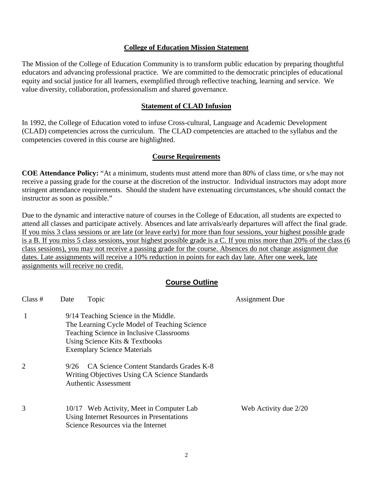#### **College of Education Mission Statement**

The Mission of the College of Education Community is to transform public education by preparing thoughtful educators and advancing professional practice. We are committed to the democratic principles of educational equity and social justice for all learners, exemplified through reflective teaching, learning and service. We value diversity, collaboration, professionalism and shared governance.

#### **Statement of CLAD Infusion**

In 1992, the College of Education voted to infuse Cross-cultural, Language and Academic Development (CLAD) competencies across the curriculum. The CLAD competencies are attached to the syllabus and the competencies covered in this course are highlighted.

#### **Course Requirements**

**COE Attendance Policy:** "At a minimum, students must attend more than 80% of class time, or s/he may not receive a passing grade for the course at the discretion of the instructor. Individual instructors may adopt more stringent attendance requirements. Should the student have extenuating circumstances, s/he should contact the instructor as soon as possible."

Due to the dynamic and interactive nature of courses in the College of Education, all students are expected to attend all classes and participate actively. Absences and late arrivals/early departures will affect the final grade. If you miss 3 class sessions or are late (or leave early) for more than four sessions, your highest possible grade is a B. If you miss 5 class sessions, your highest possible grade is a C. If you miss more than 20% of the class (6 class sessions), you may not receive a passing grade for the course. Absences do not change assignment due dates. Late assignments will receive a 10% reduction in points for each day late. After one week, late assignments will receive no credit.

#### **Course Outline**

| Class $#$      | Date | Topic                                                                                                                                                                                                    | <b>Assignment Due</b> |
|----------------|------|----------------------------------------------------------------------------------------------------------------------------------------------------------------------------------------------------------|-----------------------|
|                |      | 9/14 Teaching Science in the Middle.<br>The Learning Cycle Model of Teaching Science<br>Teaching Science in Inclusive Classrooms<br>Using Science Kits & Textbooks<br><b>Exemplary Science Materials</b> |                       |
| $\overline{2}$ | 9/26 | CA Science Content Standards Grades K-8<br>Writing Objectives Using CA Science Standards<br><b>Authentic Assessment</b>                                                                                  |                       |
| 3              |      | 10/17 Web Activity, Meet in Computer Lab<br>Using Internet Resources in Presentations<br>Science Resources via the Internet                                                                              | Web Activity due 2/20 |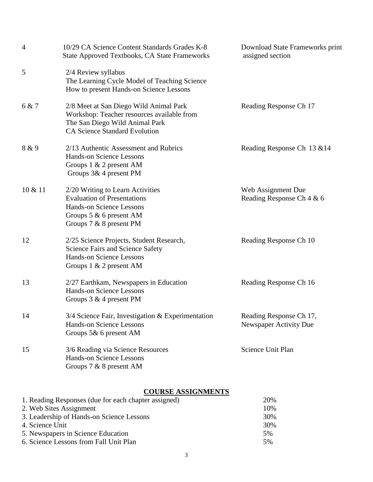| $\overline{4}$ | 10/29 CA Science Content Standards Grades K-8<br>State Approved Textbooks, CA State Frameworks                                                                 | Download State Frameworks print<br>assigned section |
|----------------|----------------------------------------------------------------------------------------------------------------------------------------------------------------|-----------------------------------------------------|
| 5              | 2/4 Review syllabus<br>The Learning Cycle Model of Teaching Science<br>How to present Hands-on Science Lessons                                                 |                                                     |
| 6 & 7          | 2/8 Meet at San Diego Wild Animal Park<br>Workshop: Teacher resources available from<br>The San Diego Wild Animal Park<br><b>CA Science Standard Evolution</b> | Reading Response Ch 17                              |
| 8 & 9          | 2/13 Authentic Assessment and Rubrics<br><b>Hands-on Science Lessons</b><br>Groups 1 & 2 present AM<br>Groups 3& 4 present PM                                  | Reading Response Ch 13 & 14                         |
| 10 & 11        | 2/20 Writing to Learn Activities<br><b>Evaluation of Presentations</b><br>Hands-on Science Lessons<br>Groups $5 & 6$ present AM<br>Groups $7 & 8$ 8 present PM | Web Assignment Due<br>Reading Response Ch 4 & 6     |
| 12             | 2/25 Science Projects, Student Research,<br>Science Fairs and Science Safety<br><b>Hands-on Science Lessons</b><br>Groups $1 \& 2$ present AM                  | Reading Response Ch 10                              |
| 13             | 2/27 Earthkam, Newspapers in Education<br><b>Hands-on Science Lessons</b><br>Groups $3 \& 4$ present PM                                                        | Reading Response Ch 16                              |
| 14             | 3/4 Science Fair, Investigation & Experimentation<br>Hands-on Science Lessons<br>Groups 5& 6 present AM                                                        | Reading Response Ch 17,<br>Newspaper Activity Due   |
| 15             | 3/6 Reading via Science Resources<br><b>Hands-on Science Lessons</b><br>Groups 7 & 8 present AM                                                                | Science Unit Plan                                   |

# **COURSE ASSIGNMENTS**

| 1. Reading Responses (due for each chapter assigned) | 20% |
|------------------------------------------------------|-----|
| 2. Web Sites Assignment                              | 10% |
| 3. Leadership of Hands-on Science Lessons            | 30% |
| 4. Science Unit                                      | 30% |
| 5. Newspapers in Science Education                   | .5% |
| 6. Science Lessons from Fall Unit Plan               | 5%  |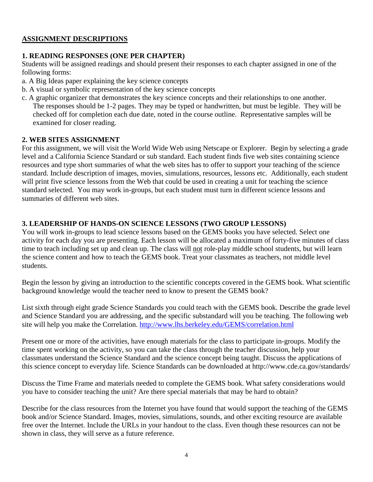# **ASSIGNMENT DESCRIPTIONS**

# **1. READING RESPONSES (ONE PER CHAPTER)**

Students will be assigned readings and should present their responses to each chapter assigned in one of the following forms:

- a. A Big Ideas paper explaining the key science concepts
- b. A visual or symbolic representation of the key science concepts

c. A graphic organizer that demonstrates the key science concepts and their relationships to one another. The responses should be 1-2 pages. They may be typed or handwritten, but must be legible. They will be checked off for completion each due date, noted in the course outline. Representative samples will be examined for closer reading.

# **2. WEB SITES ASSIGNMENT**

For this assignment, we will visit the World Wide Web using Netscape or Explorer. Begin by selecting a grade level and a California Science Standard or sub standard. Each student finds five web sites containing science resources and type short summaries of what the web sites has to offer to support your teaching of the science standard. Include description of images, movies, simulations, resources, lessons etc. Additionally, each student will print five science lessons from the Web that could be used in creating a unit for teaching the science standard selected. You may work in-groups, but each student must turn in different science lessons and summaries of different web sites.

# **3. LEADERSHIP OF HANDS-ON SCIENCE LESSONS (TWO GROUP LESSONS)**

You will work in-groups to lead science lessons based on the GEMS books you have selected. Select one activity for each day you are presenting. Each lesson will be allocated a maximum of forty-five minutes of class time to teach including set up and clean up. The class will not role-play middle school students, but will learn the science content and how to teach the GEMS book. Treat your classmates as teachers, not middle level students.

Begin the lesson by giving an introduction to the scientific concepts covered in the GEMS book. What scientific background knowledge would the teacher need to know to present the GEMS book?

List sixth through eight grade Science Standards you could teach with the GEMS book. Describe the grade level and Science Standard you are addressing, and the specific substandard will you be teaching. The following web site will help you make the Correlation.<http://www.lhs.berkeley.edu/GEMS/correlation.html>

Present one or more of the activities, have enough materials for the class to participate in-groups. Modify the time spent working on the activity, so you can take the class through the teacher discussion, help your classmates understand the Science Standard and the science concept being taught. Discuss the applications of this science concept to everyday life. Science Standards can be downloaded at http://www.cde.ca.gov/standards/

Discuss the Time Frame and materials needed to complete the GEMS book. What safety considerations would you have to consider teaching the unit? Are there special materials that may be hard to obtain?

Describe for the class resources from the Internet you have found that would support the teaching of the GEMS book and/or Science Standard. Images, movies, simulations, sounds, and other exciting resource are available free over the Internet. Include the URLs in your handout to the class. Even though these resources can not be shown in class, they will serve as a future reference.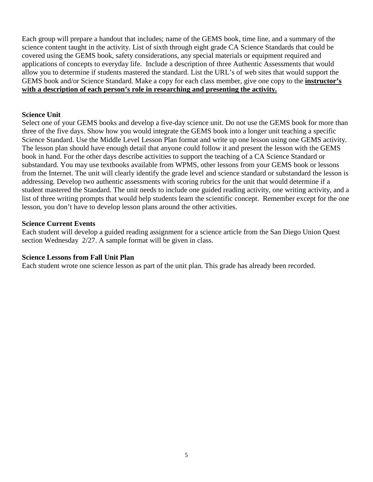Each group will prepare a handout that includes; name of the GEMS book, time line, and a summary of the science content taught in the activity. List of sixth through eight grade CA Science Standards that could be covered using the GEMS book, safety considerations, any special materials or equipment required and applications of concepts to everyday life. Include a description of three Authentic Assessments that would allow you to determine if students mastered the standard. List the URL's of web sites that would support the GEMS book and/or Science Standard. Make a copy for each class member, give one copy to the **instructor's with a description of each person's role in researching and presenting the activity.**

### **Science Unit**

Select one of your GEMS books and develop a five-day science unit. Do not use the GEMS book for more than three of the five days. Show how you would integrate the GEMS book into a longer unit teaching a specific Science Standard. Use the Middle Level Lesson Plan format and write up one lesson using one GEMS activity. The lesson plan should have enough detail that anyone could follow it and present the lesson with the GEMS book in hand. For the other days describe activities to support the teaching of a CA Science Standard or substandard. You may use textbooks available from WPMS, other lessons from your GEMS book or lessons from the Internet. The unit will clearly identify the grade level and science standard or substandard the lesson is addressing. Develop two authentic assessments with scoring rubrics for the unit that would determine if a student mastered the Standard. The unit needs to include one guided reading activity, one writing activity, and a list of three writing prompts that would help students learn the scientific concept. Remember except for the one lesson, you don't have to develop lesson plans around the other activities.

#### **Science Current Events**

Each student will develop a guided reading assignment for a science article from the San Diego Union Quest section Wednesday 2/27. A sample format will be given in class.

# **Science Lessons from Fall Unit Plan**

Each student wrote one science lesson as part of the unit plan. This grade has already been recorded.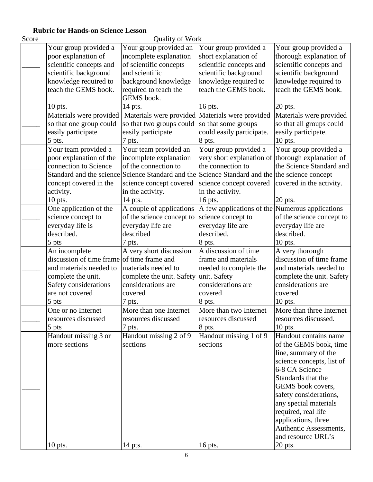Ouality of Work

|                                            | $\mathbf{y}$ and $\mathbf{y}$                                                          |                                                   |                           |
|--------------------------------------------|----------------------------------------------------------------------------------------|---------------------------------------------------|---------------------------|
| Your group provided a                      | Your group provided an                                                                 | Your group provided a                             | Your group provided a     |
| poor explanation of                        | incomplete explanation                                                                 | short explanation of                              | thorough explanation of   |
| scientific concepts and                    | of scientific concepts                                                                 | scientific concepts and                           | scientific concepts and   |
| scientific background                      | and scientific                                                                         | scientific background                             | scientific background     |
| knowledge required to                      | background knowledge                                                                   | knowledge required to                             | knowledge required to     |
| teach the GEMS book.                       | required to teach the                                                                  | teach the GEMS book.                              | teach the GEMS book.      |
|                                            | GEMS book.                                                                             |                                                   |                           |
| $10$ pts.                                  | 14 pts.                                                                                | 16 pts.                                           | $20$ pts.                 |
| Materials were provided                    |                                                                                        | Materials were provided Materials were provided   | Materials were provided   |
| so that one group could                    | so that two groups could                                                               | so that some groups                               | so that all groups could  |
| easily participate                         | easily participate                                                                     | could easily participate.                         | easily participate.       |
| 5 pts.                                     | 7 pts.                                                                                 | 8 pts.                                            | $10$ pts.                 |
| Your team provided a                       | Your team provided an                                                                  | Your group provided a                             | Your group provided a     |
| poor explanation of the                    | incomplete explanation                                                                 | very short explanation of thorough explanation of |                           |
| connection to Science                      | of the connection to                                                                   | the connection to                                 | the Science Standard and  |
|                                            | Standard and the science Standard and the Science Standard and the the science concept |                                                   |                           |
| concept covered in the                     | science concept covered                                                                | science concept covered covered in the activity.  |                           |
| activity.                                  | in the activity.                                                                       | in the activity.                                  |                           |
| $10$ pts.                                  | 14 pts.                                                                                | 16 pts.                                           | $20$ pts.                 |
| One application of the                     | A couple of applications                                                               | A few applications of the Numerous applications   |                           |
| science concept to                         | of the science concept to                                                              | science concept to                                | of the science concept to |
| everyday life is                           | everyday life are                                                                      | everyday life are                                 | everyday life are         |
| described.                                 | described                                                                              | described.                                        | described.                |
| 5 pts                                      | 7 pts.                                                                                 | 8 pts.                                            | $10$ pts.                 |
| An incomplete                              | A very short discussion                                                                | A discussion of time                              | A very thorough           |
| discussion of time frame of time frame and |                                                                                        | frame and materials                               | discussion of time frame  |
| and materials needed to                    | materials needed to                                                                    | needed to complete the                            | and materials needed to   |
| complete the unit.                         | complete the unit. Safety                                                              | unit. Safety                                      | complete the unit. Safety |
| Safety considerations                      | considerations are                                                                     | considerations are                                | considerations are        |
| are not covered                            | covered                                                                                | covered                                           | covered                   |
| 5 pts                                      | 7 pts.                                                                                 | 8 pts.                                            | $10$ pts.                 |
| One or no Internet                         | More than one Internet                                                                 | More than two Internet                            | More than three Internet  |
| resources discussed                        | resources discussed                                                                    | resources discussed                               | resources discussed.      |
| 5 pts                                      | 7 pts.                                                                                 | 8 pts.                                            | 10 pts.                   |
| Handout missing 3 or                       | Handout missing 2 of 9                                                                 | Handout missing 1 of 9                            | Handout contains name     |
| more sections                              | sections                                                                               | sections                                          | of the GEMS book, time    |
|                                            |                                                                                        |                                                   | line, summary of the      |
|                                            |                                                                                        |                                                   | science concepts, list of |
|                                            |                                                                                        |                                                   | 6-8 CA Science            |
|                                            |                                                                                        |                                                   | Standards that the        |
|                                            |                                                                                        |                                                   | GEMS book covers,         |
|                                            |                                                                                        |                                                   | safety considerations,    |
|                                            |                                                                                        |                                                   | any special materials     |
|                                            |                                                                                        |                                                   | required, real life       |
|                                            |                                                                                        |                                                   | applications, three       |
|                                            |                                                                                        |                                                   | Authentic Assessments,    |
|                                            |                                                                                        |                                                   | and resource URL's        |
| $10$ pts.                                  | 14 pts.                                                                                | 16 pts.                                           | $20$ pts.                 |
|                                            |                                                                                        |                                                   |                           |